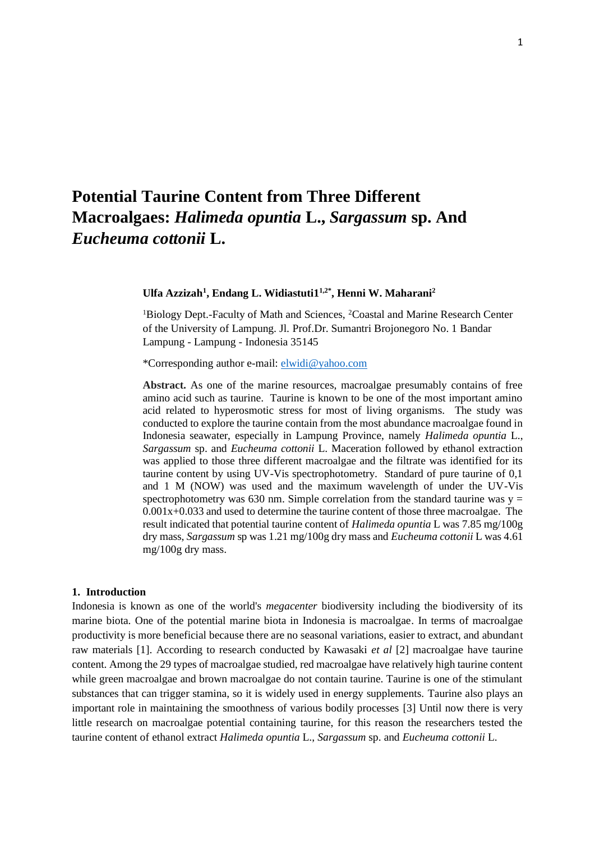# **Potential Taurine Content from Three Different Macroalgaes:** *Halimeda opuntia* **L.,** *Sargassum* **sp. And**  *Eucheuma cottonii* **L.**

## **Ulfa Azzizah<sup>1</sup> , Endang L. Widiastuti1 1,2\*, Henni W. Maharani<sup>2</sup>**

<sup>1</sup>Biology Dept.-Faculty of Math and Sciences, <sup>2</sup>Coastal and Marine Research Center of the University of Lampung. Jl. Prof.Dr. Sumantri Brojonegoro No. 1 Bandar Lampung - Lampung - Indonesia 35145

\*Corresponding author e-mail: [elwidi@yahoo.com](mailto:elwidi@yahoo.com)

**Abstract.** As one of the marine resources, macroalgae presumably contains of free amino acid such as taurine. Taurine is known to be one of the most important amino acid related to hyperosmotic stress for most of living organisms. The study was conducted to explore the taurine contain from the most abundance macroalgae found in Indonesia seawater, especially in Lampung Province, namely *Halimeda opuntia* L., *Sargassum* sp. and *Eucheuma cottonii* L. Maceration followed by ethanol extraction was applied to those three different macroalgae and the filtrate was identified for its taurine content by using UV-Vis spectrophotometry. Standard of pure taurine of 0,1 and 1 M (NOW) was used and the maximum wavelength of under the UV-Vis spectrophotometry was 630 nm. Simple correlation from the standard taurine was  $y =$  $0.001x+0.033$  and used to determine the taurine content of those three macroalgae. The result indicated that potential taurine content of *Halimeda opuntia* L was 7.85 mg/100g dry mass, *Sargassum* sp was 1.21 mg/100g dry mass and *Eucheuma cottonii* L was 4.61 mg/100g dry mass.

#### **1. Introduction**

Indonesia is known as one of the world's *megacenter* biodiversity including the biodiversity of its marine biota. One of the potential marine biota in Indonesia is macroalgae. In terms of macroalgae productivity is more beneficial because there are no seasonal variations, easier to extract, and abundant raw materials [1]. According to research conducted by Kawasaki *et al* [2] macroalgae have taurine content. Among the 29 types of macroalgae studied, red macroalgae have relatively high taurine content while green macroalgae and brown macroalgae do not contain taurine. Taurine is one of the stimulant substances that can trigger stamina, so it is widely used in energy supplements. Taurine also plays an important role in maintaining the smoothness of various bodily processes [3] Until now there is very little research on macroalgae potential containing taurine, for this reason the researchers tested the taurine content of ethanol extract *Halimeda opuntia* L., *Sargassum* sp. and *Eucheuma cottonii* L.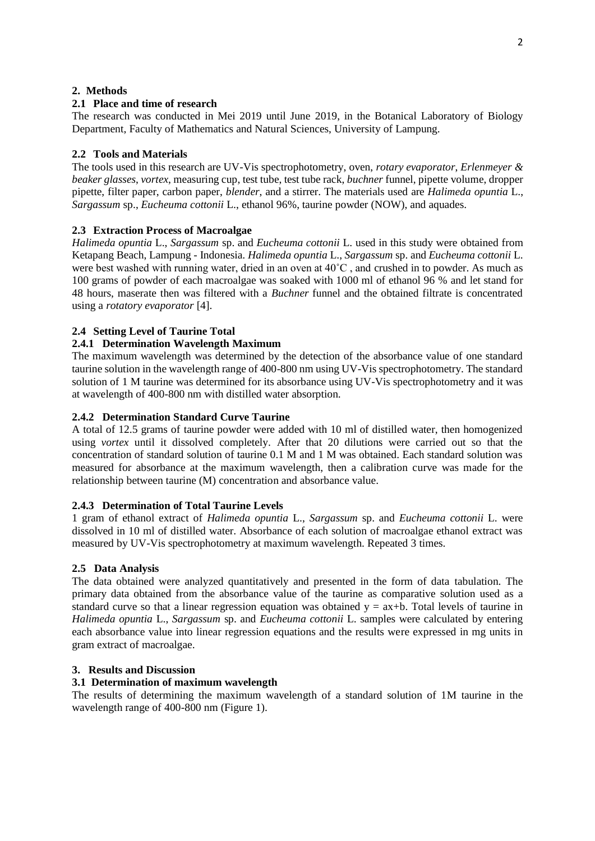## **2. Methods**

# **2.1 Place and time of research**

The research was conducted in Mei 2019 until June 2019, in the Botanical Laboratory of Biology Department, Faculty of Mathematics and Natural Sciences, University of Lampung.

# **2.2 Tools and Materials**

The tools used in this research are UV-Vis spectrophotometry, oven, *rotary evaporator*, *Erlenmeyer & beaker glasses*, *vortex*, measuring cup, test tube, test tube rack, *buchner* funnel, pipette volume, dropper pipette, filter paper, carbon paper, *blender*, and a stirrer. The materials used are *Halimeda opuntia* L., *Sargassum* sp., *Eucheuma cottonii* L., ethanol 96%, taurine powder (NOW), and aquades.

# **2.3 Extraction Process of Macroalgae**

*Halimeda opuntia* L., *Sargassum* sp. and *Eucheuma cottonii* L. used in this study were obtained from Ketapang Beach, Lampung - Indonesia. *Halimeda opuntia* L., *Sargassum* sp. and *Eucheuma cottonii* L. were best washed with running water, dried in an oven at 40˚C , and crushed in to powder. As much as 100 grams of powder of each macroalgae was soaked with 1000 ml of ethanol 96 % and let stand for 48 hours, maserate then was filtered with a *Buchner* funnel and the obtained filtrate is concentrated using a *rotatory evaporator* [4].

# **2.4 Setting Level of Taurine Total**

# **2.4.1 Determination Wavelength Maximum**

The maximum wavelength was determined by the detection of the absorbance value of one standard taurine solution in the wavelength range of 400-800 nm using UV-Vis spectrophotometry. The standard solution of 1 M taurine was determined for its absorbance using UV-Vis spectrophotometry and it was at wavelength of 400-800 nm with distilled water absorption.

## **2.4.2 Determination Standard Curve Taurine**

A total of 12.5 grams of taurine powder were added with 10 ml of distilled water, then homogenized using *vortex* until it dissolved completely. After that 20 dilutions were carried out so that the concentration of standard solution of taurine 0.1 M and 1 M was obtained. Each standard solution was measured for absorbance at the maximum wavelength, then a calibration curve was made for the relationship between taurine (M) concentration and absorbance value.

#### **2.4.3 Determination of Total Taurine Levels**

1 gram of ethanol extract of *Halimeda opuntia* L., *Sargassum* sp. and *Eucheuma cottonii* L. were dissolved in 10 ml of distilled water. Absorbance of each solution of macroalgae ethanol extract was measured by UV-Vis spectrophotometry at maximum wavelength. Repeated 3 times.

#### **2.5 Data Analysis**

The data obtained were analyzed quantitatively and presented in the form of data tabulation. The primary data obtained from the absorbance value of the taurine as comparative solution used as a standard curve so that a linear regression equation was obtained  $y = ax + b$ . Total levels of taurine in *Halimeda opuntia* L., *Sargassum* sp. and *Eucheuma cottonii* L. samples were calculated by entering each absorbance value into linear regression equations and the results were expressed in mg units in gram extract of macroalgae.

## **3. Results and Discussion**

# **3.1 Determination of maximum wavelength**

The results of determining the maximum wavelength of a standard solution of 1M taurine in the wavelength range of 400-800 nm (Figure 1).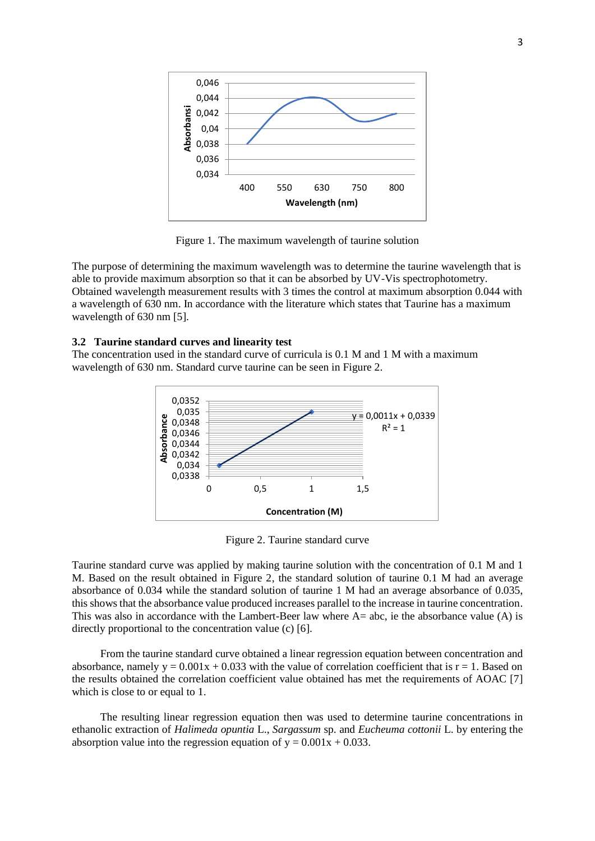

Figure 1. The maximum wavelength of taurine solution

The purpose of determining the maximum wavelength was to determine the taurine wavelength that is able to provide maximum absorption so that it can be absorbed by UV-Vis spectrophotometry. Obtained wavelength measurement results with 3 times the control at maximum absorption 0.044 with a wavelength of 630 nm. In accordance with the literature which states that Taurine has a maximum wavelength of 630 nm [5].

#### **3.2 Taurine standard curves and linearity test**

The concentration used in the standard curve of curricula is 0.1 M and 1 M with a maximum wavelength of 630 nm. Standard curve taurine can be seen in Figure 2.



Figure 2. Taurine standard curve

Taurine standard curve was applied by making taurine solution with the concentration of 0.1 M and 1 M. Based on the result obtained in Figure 2, the standard solution of taurine 0.1 M had an average absorbance of 0.034 while the standard solution of taurine 1 M had an average absorbance of 0.035, this shows that the absorbance value produced increases parallel to the increase in taurine concentration. This was also in accordance with the Lambert-Beer law where A= abc, ie the absorbance value (A) is directly proportional to the concentration value (c) [6].

From the taurine standard curve obtained a linear regression equation between concentration and absorbance, namely  $y = 0.001x + 0.033$  with the value of correlation coefficient that is  $r = 1$ . Based on the results obtained the correlation coefficient value obtained has met the requirements of AOAC [7] which is close to or equal to 1.

The resulting linear regression equation then was used to determine taurine concentrations in ethanolic extraction of *Halimeda opuntia* L., *Sargassum* sp. and *Eucheuma cottonii* L. by entering the absorption value into the regression equation of  $y = 0.001x + 0.033$ .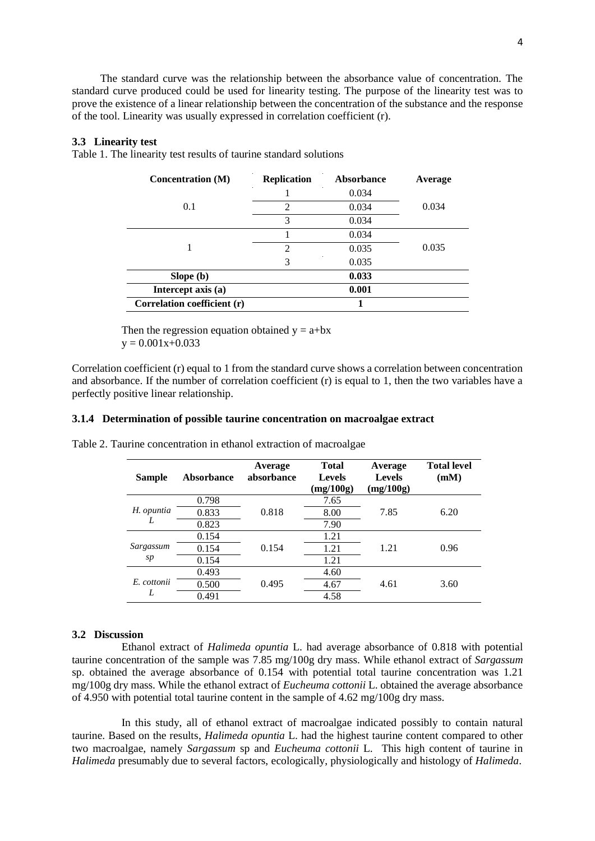The standard curve was the relationship between the absorbance value of concentration. The standard curve produced could be used for linearity testing. The purpose of the linearity test was to prove the existence of a linear relationship between the concentration of the substance and the response of the tool. Linearity was usually expressed in correlation coefficient (r).

#### **3.3 Linearity test**

Table 1. The linearity test results of taurine standard solutions

| <b>Concentration</b> (M)    | <b>Replication</b> | <b>Absorbance</b> | Average |
|-----------------------------|--------------------|-------------------|---------|
|                             |                    | 0.034             |         |
| 0.1                         | 2                  | 0.034             | 0.034   |
|                             | 3                  | 0.034             |         |
|                             |                    | 0.034             |         |
|                             | $\mathfrak{D}$     | 0.035             | 0.035   |
|                             | 3                  | 0.035             |         |
| Slope (b)                   |                    | 0.033             |         |
| Intercept axis (a)          |                    | 0.001             |         |
| Correlation coefficient (r) |                    |                   |         |

Then the regression equation obtained  $y = a + bx$  $y = 0.001x+0.033$ 

Correlation coefficient (r) equal to 1 from the standard curve shows a correlation between concentration and absorbance. If the number of correlation coefficient (r) is equal to 1, then the two variables have a perfectly positive linear relationship.

#### **3.1.4 Determination of possible taurine concentration on macroalgae extract**

| <b>Sample</b> | <b>Absorbance</b> | Average<br>absorbance | <b>Total</b><br><b>Levels</b><br>(mg/100g) | Average<br><b>Levels</b><br>(mg/100g) | <b>Total level</b><br>(mM) |
|---------------|-------------------|-----------------------|--------------------------------------------|---------------------------------------|----------------------------|
|               | 0.798             |                       | 7.65                                       |                                       |                            |
| H. opuntia    | 0.833             | 0.818                 | 8.00                                       | 7.85                                  | 6.20                       |
|               | 0.823             |                       | 7.90                                       |                                       |                            |
|               | 0.154             |                       | 1.21                                       |                                       |                            |
| Sargassum     | 0.154             | 0.154                 | 1.21                                       | 1.21                                  | 0.96                       |
| sp            | 0.154             |                       | 1.21                                       |                                       |                            |
|               | 0.493             |                       | 4.60                                       |                                       |                            |
| E. cottonii   | 0.500             | 0.495                 | 4.67                                       | 4.61                                  | 3.60                       |
| L             | 0.491             |                       | 4.58                                       |                                       |                            |

Table 2. Taurine concentration in ethanol extraction of macroalgae

#### **3.2 Discussion**

Ethanol extract of *Halimeda opuntia* L. had average absorbance of 0.818 with potential taurine concentration of the sample was 7.85 mg/100g dry mass. While ethanol extract of *Sargassum*  sp. obtained the average absorbance of 0.154 with potential total taurine concentration was 1.21 mg/100g dry mass. While the ethanol extract of *Eucheuma cottonii* L. obtained the average absorbance of 4.950 with potential total taurine content in the sample of 4.62 mg/100g dry mass.

In this study, all of ethanol extract of macroalgae indicated possibly to contain natural taurine. Based on the results, *Halimeda opuntia* L. had the highest taurine content compared to other two macroalgae, namely *Sargassum* sp and *Eucheuma cottonii* L. This high content of taurine in *Halimeda* presumably due to several factors, ecologically, physiologically and histology of *Halimeda*.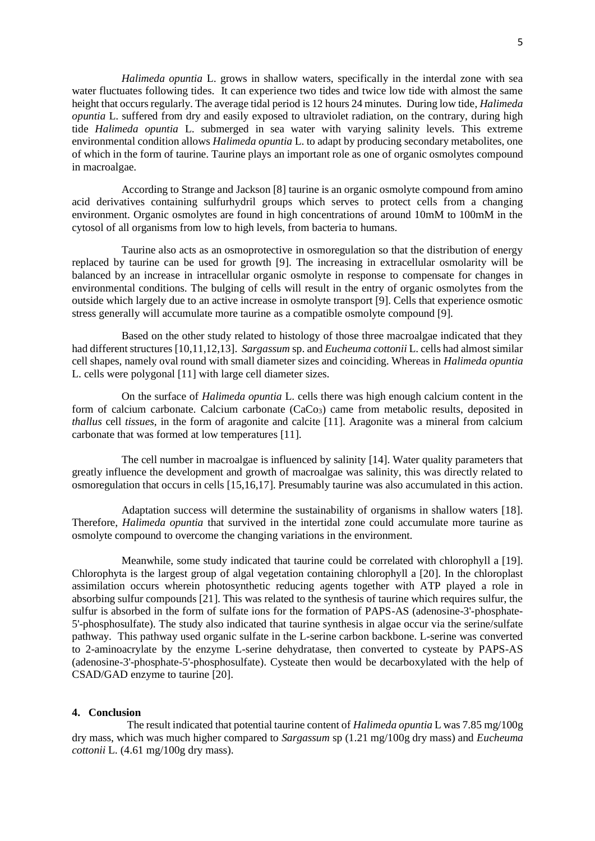*Halimeda opuntia* L. grows in shallow waters, specifically in the interdal zone with sea water fluctuates following tides. It can experience two tides and twice low tide with almost the same height that occurs regularly. The average tidal period is 12 hours 24 minutes. During low tide, *Halimeda opuntia* L. suffered from dry and easily exposed to ultraviolet radiation, on the contrary, during high tide *Halimeda opuntia* L. submerged in sea water with varying salinity levels. This extreme environmental condition allows *Halimeda opuntia* L. to adapt by producing secondary metabolites, one of which in the form of taurine. Taurine plays an important role as one of organic osmolytes compound in macroalgae.

According to Strange and Jackson [8] taurine is an organic osmolyte compound from amino acid derivatives containing sulfurhydril groups which serves to protect cells from a changing environment. Organic osmolytes are found in high concentrations of around 10mM to 100mM in the cytosol of all organisms from low to high levels, from bacteria to humans.

Taurine also acts as an osmoprotective in osmoregulation so that the distribution of energy replaced by taurine can be used for growth [9]. The increasing in extracellular osmolarity will be balanced by an increase in intracellular organic osmolyte in response to compensate for changes in environmental conditions. The bulging of cells will result in the entry of organic osmolytes from the outside which largely due to an active increase in osmolyte transport [9]. Cells that experience osmotic stress generally will accumulate more taurine as a compatible osmolyte compound [9].

Based on the other study related to histology of those three macroalgae indicated that they had different structures [10,11,12,13]. *Sargassum* sp. and *Eucheuma cottonii* L. cells had almost similar cell shapes, namely oval round with small diameter sizes and coinciding. Whereas in *Halimeda opuntia*  L. cells were polygonal [11] with large cell diameter sizes.

On the surface of *Halimeda opuntia* L. cells there was high enough calcium content in the form of calcium carbonate. Calcium carbonate  $(CaCo<sub>3</sub>)$  came from metabolic results, deposited in *thallus* cell *tissues*, in the form of aragonite and calcite [11]. Aragonite was a mineral from calcium carbonate that was formed at low temperatures [11].

The cell number in macroalgae is influenced by salinity [14]. Water quality parameters that greatly influence the development and growth of macroalgae was salinity, this was directly related to osmoregulation that occurs in cells [15,16,17]. Presumably taurine was also accumulated in this action.

Adaptation success will determine the sustainability of organisms in shallow waters [18]. Therefore, *Halimeda opuntia* that survived in the intertidal zone could accumulate more taurine as osmolyte compound to overcome the changing variations in the environment.

Meanwhile, some study indicated that taurine could be correlated with chlorophyll a [19]. Chlorophyta is the largest group of algal vegetation containing chlorophyll a [20]. In the chloroplast assimilation occurs wherein photosynthetic reducing agents together with ATP played a role in absorbing sulfur compounds [21]. This was related to the synthesis of taurine which requires sulfur, the sulfur is absorbed in the form of sulfate ions for the formation of PAPS-AS (adenosine-3'-phosphate-5'-phosphosulfate). The study also indicated that taurine synthesis in algae occur via the serine/sulfate pathway. This pathway used organic sulfate in the L-serine carbon backbone. L-serine was converted to 2-aminoacrylate by the enzyme L-serine dehydratase, then converted to cysteate by PAPS-AS (adenosine-3'-phosphate-5'-phosphosulfate). Cysteate then would be decarboxylated with the help of CSAD/GAD enzyme to taurine [20].

#### **4. Conclusion**

 The result indicated that potential taurine content of *Halimeda opuntia* L was 7.85 mg/100g dry mass, which was much higher compared to *Sargassum* sp (1.21 mg/100g dry mass) and *Eucheuma cottonii* L. (4.61 mg/100g dry mass).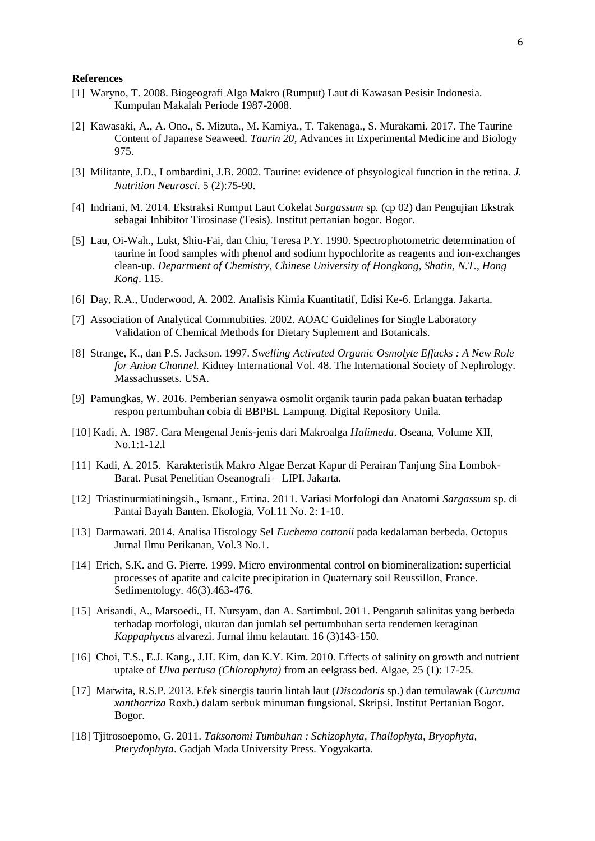#### **References**

- [1] Waryno, T. 2008. Biogeografi Alga Makro (Rumput) Laut di Kawasan Pesisir Indonesia. Kumpulan Makalah Periode 1987-2008.
- [2] Kawasaki, A., A. Ono., S. Mizuta., M. Kamiya., T. Takenaga., S. Murakami. 2017. The Taurine Content of Japanese Seaweed. *Taurin 20*, Advances in Experimental Medicine and Biology 975.
- [3] Militante, J.D., Lombardini, J.B. 2002. Taurine: evidence of phsyological function in the retina. *J. Nutrition Neurosci*. 5 (2):75-90.
- [4] Indriani, M. 2014. Ekstraksi Rumput Laut Cokelat *Sargassum* sp*.* (cp 02) dan Pengujian Ekstrak sebagai Inhibitor Tirosinase (Tesis). Institut pertanian bogor. Bogor.
- [5] Lau, Oi-Wah., Lukt, Shiu-Fai, dan Chiu, Teresa P.Y. 1990. Spectrophotometric determination of taurine in food samples with phenol and sodium hypochlorite as reagents and ion-exchanges clean-up. *Department of Chemistry, Chinese University of Hongkong, Shatin, N.T., Hong Kong*. 115.
- [6] Day, R.A., Underwood, A. 2002. Analisis Kimia Kuantitatif, Edisi Ke-6. Erlangga. Jakarta.
- [7] Association of Analytical Commubities. 2002. AOAC Guidelines for Single Laboratory Validation of Chemical Methods for Dietary Suplement and Botanicals.
- [8] Strange, K., dan P.S. Jackson. 1997. *Swelling Activated Organic Osmolyte Effucks : A New Role for Anion Channel.* Kidney International Vol. 48. The International Society of Nephrology. Massachussets. USA.
- [9] Pamungkas, W. 2016. Pemberian senyawa osmolit organik taurin pada pakan buatan terhadap respon pertumbuhan cobia di BBPBL Lampung. Digital Repository Unila.
- [10] Kadi, A. 1987. Cara Mengenal Jenis-jenis dari Makroalga *Halimeda*. Oseana, Volume XII, No.1:1-12.l
- [11] Kadi, A. 2015. Karakteristik Makro Algae Berzat Kapur di Perairan Tanjung Sira Lombok-Barat. Pusat Penelitian Oseanografi – LIPI. Jakarta.
- [12] Triastinurmiatiningsih., Ismant., Ertina. 2011. Variasi Morfologi dan Anatomi *Sargassum* sp. di Pantai Bayah Banten. Ekologia, Vol.11 No. 2: 1-10.
- [13] Darmawati. 2014. Analisa Histology Sel *Euchema cottonii* pada kedalaman berbeda. Octopus Jurnal Ilmu Perikanan, Vol.3 No.1.
- [14] Erich, S.K. and G. Pierre. 1999. Micro environmental control on biomineralization: superficial processes of apatite and calcite precipitation in Quaternary soil Reussillon, France. Sedimentology. 46(3).463-476.
- [15] Arisandi, A., Marsoedi., H. Nursyam, dan A. Sartimbul. 2011. Pengaruh salinitas yang berbeda terhadap morfologi, ukuran dan jumlah sel pertumbuhan serta rendemen keraginan *Kappaphycus* alvarezi. Jurnal ilmu kelautan. 16 (3)143-150.
- [16] Choi, T.S., E.J. Kang., J.H. Kim, dan K.Y. Kim. 2010. Effects of salinity on growth and nutrient uptake of *Ulva pertusa (Chlorophyta)* from an eelgrass bed. Algae, 25 (1): 17-25.
- [17] Marwita, R.S.P. 2013. Efek sinergis taurin lintah laut (*Discodoris* sp.) dan temulawak (*Curcuma xanthorriza* Roxb.) dalam serbuk minuman fungsional. Skripsi. Institut Pertanian Bogor. Bogor.
- [18] Tjitrosoepomo, G. 2011. *Taksonomi Tumbuhan : Schizophyta, Thallophyta, Bryophyta, Pterydophyta*. Gadjah Mada University Press. Yogyakarta.